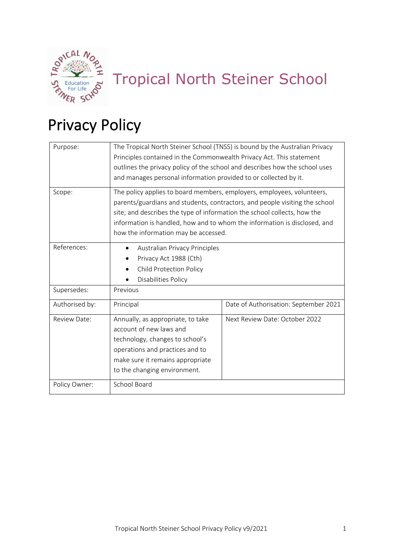

# Tropical North Steiner School

# Privacy Policy

| Purpose:       | The Tropical North Steiner School (TNSS) is bound by the Australian Privacy<br>Principles contained in the Commonwealth Privacy Act. This statement<br>outlines the privacy policy of the school and describes how the school uses<br>and manages personal information provided to or collected by it.                                                 |                                       |
|----------------|--------------------------------------------------------------------------------------------------------------------------------------------------------------------------------------------------------------------------------------------------------------------------------------------------------------------------------------------------------|---------------------------------------|
| Scope:         | The policy applies to board members, employers, employees, volunteers,<br>parents/guardians and students, contractors, and people visiting the school<br>site; and describes the type of information the school collects, how the<br>information is handled, how and to whom the information is disclosed, and<br>how the information may be accessed. |                                       |
| References:    | Australian Privacy Principles<br>$\bullet$<br>Privacy Act 1988 (Cth)<br><b>Child Protection Policy</b><br>Disabilities Policy                                                                                                                                                                                                                          |                                       |
| Supersedes:    | Previous                                                                                                                                                                                                                                                                                                                                               |                                       |
| Authorised by: | Principal                                                                                                                                                                                                                                                                                                                                              | Date of Authorisation: September 2021 |
| Review Date:   | Annually, as appropriate, to take<br>account of new laws and<br>technology, changes to school's<br>operations and practices and to<br>make sure it remains appropriate<br>to the changing environment.                                                                                                                                                 | Next Review Date: October 2022        |
| Policy Owner:  | School Board                                                                                                                                                                                                                                                                                                                                           |                                       |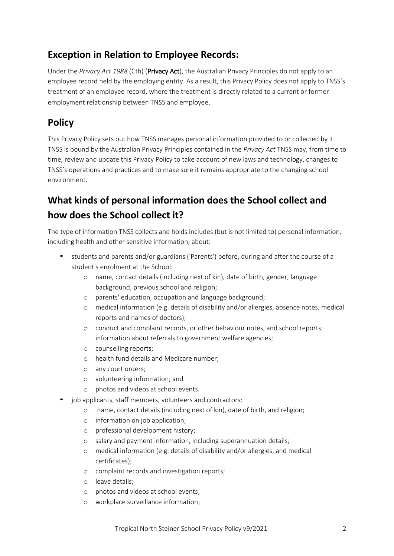## **Exception in Relation to Employee Records:**

Under the *Privacy Act 1988* (Cth) (Privacy Act), the Australian Privacy Principles do not apply to an employee record held by the employing entity. As a result, this Privacy Policy does not apply to TNSS's treatment of an employee record, where the treatment is directly related to a current or former employment relationship between TNSS and employee.

## **Policy**

This Privacy Policy sets out how TNSS manages personal information provided to or collected by it. TNSS is bound by the Australian Privacy Principles contained in the *Privacy Act* TNSS may, from time to time, review and update this Privacy Policy to take account of new laws and technology, changes to TNSS's operations and practices and to make sure it remains appropriate to the changing school environment.

# **What kinds of personal information does the School collect and how does the School collect it?**

The type of information TNSS collects and holds includes (but is not limited to) personal information, including health and other sensitive information, about:

- students and parents and/or guardians ('Parents') before, during and after the course of a student's enrolment at the School:
	- o name, contact details (including next of kin), date of birth, gender, language background, previous school and religion;
	- o parents' education, occupation and language background;
	- o medical information (e.g. details of disability and/or allergies, absence notes, medical reports and names of doctors);
	- o conduct and complaint records, or other behaviour notes, and school reports; information about referrals to government welfare agencies;
	- o counselling reports;
	- o health fund details and Medicare number;
	- o any court orders;
	- o volunteering information; and
	- o photos and videos at school events.
- job applicants, staff members, volunteers and contractors:
	- o name, contact details (including next of kin), date of birth, and religion;
	- o information on job application;
	- o professional development history;
	- o salary and payment information, including superannuation details;
	- o medical information (e.g. details of disability and/or allergies, and medical certificates);
	- o complaint records and investigation reports;
	- o leave details;
	- o photos and videos at school events;
	- o workplace surveillance information;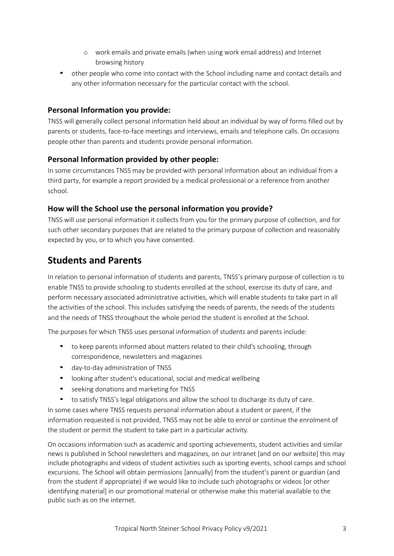- o work emails and private emails (when using work email address) and Internet browsing history
- other people who come into contact with the School including name and contact details and any other information necessary for the particular contact with the school.

#### **Personal Information you provide:**

TNSS will generally collect personal information held about an individual by way of forms filled out by parents or students, face-to-face meetings and interviews, emails and telephone calls. On occasions people other than parents and students provide personal information.

#### **Personal Information provided by other people:**

In some circumstances TNSS may be provided with personal information about an individual from a third party, for example a report provided by a medical professional or a reference from another school.

#### **How will the School use the personal information you provide?**

TNSS will use personal information it collects from you for the primary purpose of collection, and for such other secondary purposes that are related to the primary purpose of collection and reasonably expected by you, or to which you have consented.

#### **Students and Parents**

In relation to personal information of students and parents, TNSS's primary purpose of collection is to enable TNSS to provide schooling to students enrolled at the school, exercise its duty of care, and perform necessary associated administrative activities, which will enable students to take part in all the activities of the school. This includes satisfying the needs of parents, the needs of the students and the needs of TNSS throughout the whole period the student is enrolled at the School.

The purposes for which TNSS uses personal information of students and parents include:

- to keep parents informed about matters related to their child's schooling, through correspondence, newsletters and magazines
- day-to-day administration of TNSS
- looking after student's educational, social and medical wellbeing
- seeking donations and marketing for TNSS
- to satisfy TNSS's legal obligations and allow the school to discharge its duty of care.

In some cases where TNSS requests personal information about a student or parent, if the information requested is not provided, TNSS may not be able to enrol or continue the enrolment of the student or permit the student to take part in a particular activity.

On occasions information such as academic and sporting achievements, student activities and similar news is published in School newsletters and magazines, on our intranet [and on our website] this may include photographs and videos of student activities such as sporting events, school camps and school excursions. The School will obtain permissions [annually] from the student's parent or guardian (and from the student if appropriate) if we would like to include such photographs or videos [or other identifying material] in our promotional material or otherwise make this material available to the public such as on the internet.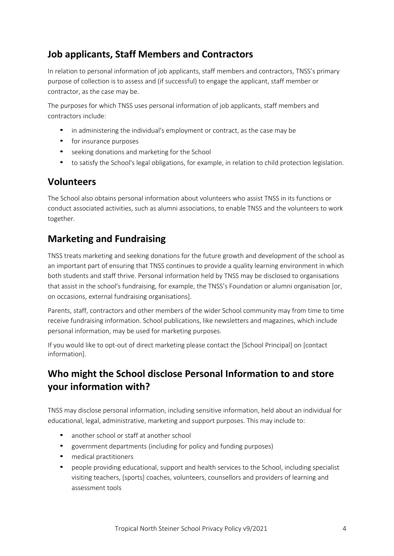## **Job applicants, Staff Members and Contractors**

In relation to personal information of job applicants, staff members and contractors, TNSS's primary purpose of collection is to assess and (if successful) to engage the applicant, staff member or contractor, as the case may be.

The purposes for which TNSS uses personal information of job applicants, staff members and contractors include:

- in administering the individual's employment or contract, as the case may be
- for insurance purposes
- seeking donations and marketing for the School
- to satisfy the School's legal obligations, for example, in relation to child protection legislation.

#### **Volunteers**

The School also obtains personal information about volunteers who assist TNSS in its functions or conduct associated activities, such as alumni associations, to enable TNSS and the volunteers to work together.

## **Marketing and Fundraising**

TNSS treats marketing and seeking donations for the future growth and development of the school as an important part of ensuring that TNSS continues to provide a quality learning environment in which both students and staff thrive. Personal information held by TNSS may be disclosed to organisations that assist in the school's fundraising, for example, the TNSS's Foundation or alumni organisation [or, on occasions, external fundraising organisations].

Parents, staff, contractors and other members of the wider School community may from time to time receive fundraising information. School publications, like newsletters and magazines, which include personal information, may be used for marketing purposes.

If you would like to opt-out of direct marketing please contact the [School Principal] on [contact information].

## **Who might the School disclose Personal Information to and store your information with?**

TNSS may disclose personal information, including sensitive information, held about an individual for educational, legal, administrative, marketing and support purposes. This may include to:

- another school or staff at another school
- government departments (including for policy and funding purposes)
- medical practitioners
- people providing educational, support and health services to the School, including specialist visiting teachers, [sports] coaches, volunteers, counsellors and providers of learning and assessment tools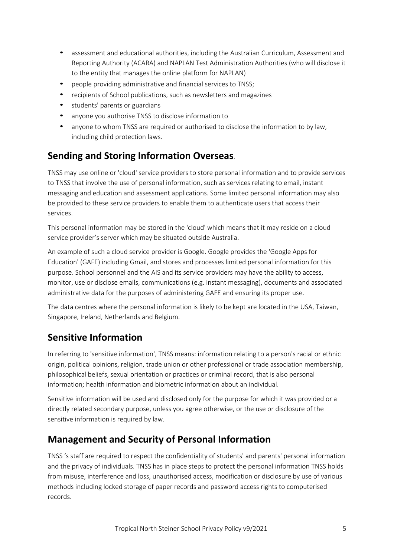- assessment and educational authorities, including the Australian Curriculum, Assessment and Reporting Authority (ACARA) and NAPLAN Test Administration Authorities (who will disclose it to the entity that manages the online platform for NAPLAN)
- people providing administrative and financial services to TNSS;
- recipients of School publications, such as newsletters and magazines
- students' parents or guardians
- anyone you authorise TNSS to disclose information to
- anyone to whom TNSS are required or authorised to disclose the information to by law, including child protection laws.

## **Sending and Storing Information Overseas**.

TNSS may use online or 'cloud' service providers to store personal information and to provide services to TNSS that involve the use of personal information, such as services relating to email, instant messaging and education and assessment applications. Some limited personal information may also be provided to these service providers to enable them to authenticate users that access their services.

This personal information may be stored in the 'cloud' which means that it may reside on a cloud service provider's server which may be situated outside Australia.

An example of such a cloud service provider is Google. Google provides the 'Google Apps for Education' (GAFE) including Gmail, and stores and processes limited personal information for this purpose. School personnel and the AIS and its service providers may have the ability to access, monitor, use or disclose emails, communications (e.g. instant messaging), documents and associated administrative data for the purposes of administering GAFE and ensuring its proper use.

The data centres where the personal information is likely to be kept are located in the USA, Taiwan, Singapore, Ireland, Netherlands and Belgium.

## **Sensitive Information**

In referring to 'sensitive information', TNSS means: information relating to a person's racial or ethnic origin, political opinions, religion, trade union or other professional or trade association membership, philosophical beliefs, sexual orientation or practices or criminal record, that is also personal information; health information and biometric information about an individual.

Sensitive information will be used and disclosed only for the purpose for which it was provided or a directly related secondary purpose, unless you agree otherwise, or the use or disclosure of the sensitive information is required by law.

## **Management and Security of Personal Information**

TNSS 's staff are required to respect the confidentiality of students' and parents' personal information and the privacy of individuals. TNSS has in place steps to protect the personal information TNSS holds from misuse, interference and loss, unauthorised access, modification or disclosure by use of various methods including locked storage of paper records and password access rights to computerised records.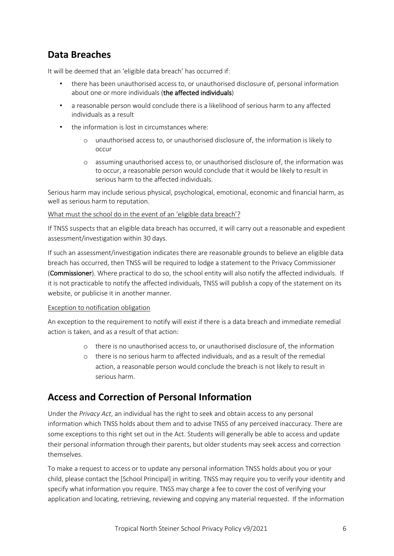## **Data Breaches**

It will be deemed that an 'eligible data breach' has occurred if:

- there has been unauthorised access to, or unauthorised disclosure of, personal information about one or more individuals (the affected individuals)
- a reasonable person would conclude there is a likelihood of serious harm to any affected individuals as a result
- the information is lost in circumstances where:
	- o unauthorised access to, or unauthorised disclosure of, the information is likely to occur
	- o assuming unauthorised access to, or unauthorised disclosure of, the information was to occur, a reasonable person would conclude that it would be likely to result in serious harm to the affected individuals.

Serious harm may include serious physical, psychological, emotional, economic and financial harm, as well as serious harm to reputation.

#### What must the school do in the event of an 'eligible data breach'?

If TNSS suspects that an eligible data breach has occurred, it will carry out a reasonable and expedient assessment/investigation within 30 days.

If such an assessment/investigation indicates there are reasonable grounds to believe an eligible data breach has occurred, then TNSS will be required to lodge a statement to the Privacy Commissioner (Commissioner). Where practical to do so, the school entity will also notify the affected individuals. If it is not practicable to notify the affected individuals, TNSS will publish a copy of the statement on its website, or publicise it in another manner.

#### Exception to notification obligation

An exception to the requirement to notify will exist if there is a data breach and immediate remedial action is taken, and as a result of that action:

- o there is no unauthorised access to, or unauthorised disclosure of, the information
- o there is no serious harm to affected individuals, and as a result of the remedial action, a reasonable person would conclude the breach is not likely to result in serious harm.

## **Access and Correction of Personal Information**

Under the *Privacy Act*, an individual has the right to seek and obtain access to any personal information which TNSS holds about them and to advise TNSS of any perceived inaccuracy. There are some exceptions to this right set out in the Act. Students will generally be able to access and update their personal information through their parents, but older students may seek access and correction themselves.

To make a request to access or to update any personal information TNSS holds about you or your child, please contact the [School Principal] in writing. TNSS may require you to verify your identity and specify what information you require. TNSS may charge a fee to cover the cost of verifying your application and locating, retrieving, reviewing and copying any material requested. If the information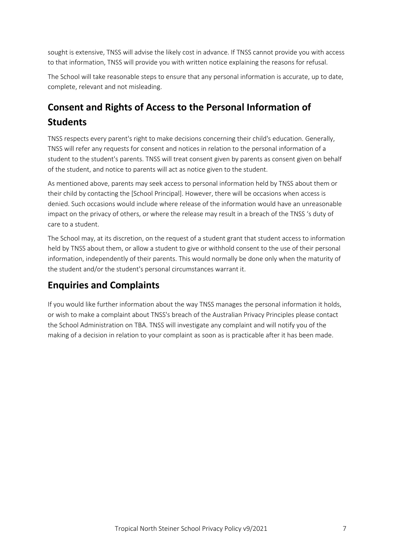sought is extensive, TNSS will advise the likely cost in advance. If TNSS cannot provide you with access to that information, TNSS will provide you with written notice explaining the reasons for refusal.

The School will take reasonable steps to ensure that any personal information is accurate, up to date, complete, relevant and not misleading.

# **Consent and Rights of Access to the Personal Information of Students**

TNSS respects every parent's right to make decisions concerning their child's education. Generally, TNSS will refer any requests for consent and notices in relation to the personal information of a student to the student's parents. TNSS will treat consent given by parents as consent given on behalf of the student, and notice to parents will act as notice given to the student.

As mentioned above, parents may seek access to personal information held by TNSS about them or their child by contacting the [School Principal]. However, there will be occasions when access is denied. Such occasions would include where release of the information would have an unreasonable impact on the privacy of others, or where the release may result in a breach of the TNSS 's duty of care to a student.

The School may, at its discretion, on the request of a student grant that student access to information held by TNSS about them, or allow a student to give or withhold consent to the use of their personal information, independently of their parents. This would normally be done only when the maturity of the student and/or the student's personal circumstances warrant it.

## **Enquiries and Complaints**

If you would like further information about the way TNSS manages the personal information it holds, or wish to make a complaint about TNSS's breach of the Australian Privacy Principles please contact the School Administration on TBA. TNSS will investigate any complaint and will notify you of the making of a decision in relation to your complaint as soon as is practicable after it has been made.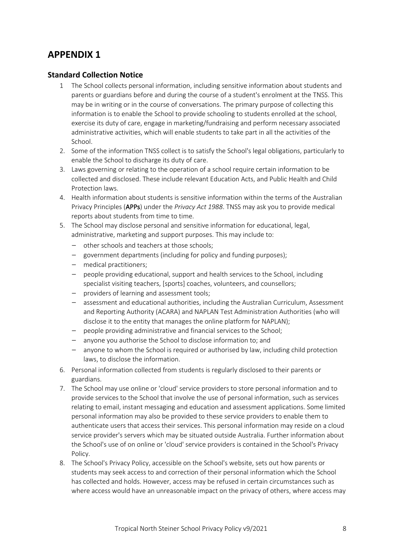#### **Standard Collection Notice**

- 1 The School collects personal information, including sensitive information about students and parents or guardians before and during the course of a student's enrolment at the TNSS. This may be in writing or in the course of conversations. The primary purpose of collecting this information is to enable the School to provide schooling to students enrolled at the school, exercise its duty of care, engage in marketing/fundraising and perform necessary associated administrative activities, which will enable students to take part in all the activities of the School.
- 2. Some of the information TNSS collect is to satisfy the School's legal obligations, particularly to enable the School to discharge its duty of care.
- 3. Laws governing or relating to the operation of a school require certain information to be collected and disclosed. These include relevant Education Acts, and Public Health and Child Protection laws.
- 4. Health information about students is sensitive information within the terms of the Australian Privacy Principles (APPs) under the *Privacy Act 1988*. TNSS may ask you to provide medical reports about students from time to time.
- 5. The School may disclose personal and sensitive information for educational, legal, administrative, marketing and support purposes. This may include to:
	- other schools and teachers at those schools;
	- government departments (including for policy and funding purposes);
	- medical practitioners;
	- people providing educational, support and health services to the School, including specialist visiting teachers, [sports] coaches, volunteers, and counsellors;
	- providers of learning and assessment tools;
	- assessment and educational authorities, including the Australian Curriculum, Assessment and Reporting Authority (ACARA) and NAPLAN Test Administration Authorities (who will disclose it to the entity that manages the online platform for NAPLAN);
	- people providing administrative and financial services to the School;
	- anyone you authorise the School to disclose information to; and
	- anyone to whom the School is required or authorised by law, including child protection laws, to disclose the information.
- 6. Personal information collected from students is regularly disclosed to their parents or guardians.
- 7. The School may use online or 'cloud' service providers to store personal information and to provide services to the School that involve the use of personal information, such as services relating to email, instant messaging and education and assessment applications. Some limited personal information may also be provided to these service providers to enable them to authenticate users that access their services. This personal information may reside on a cloud service provider's servers which may be situated outside Australia. Further information about the School's use of on online or 'cloud' service providers is contained in the School's Privacy Policy.
- 8. The School's Privacy Policy, accessible on the School's website, sets out how parents or students may seek access to and correction of their personal information which the School has collected and holds. However, access may be refused in certain circumstances such as where access would have an unreasonable impact on the privacy of others, where access may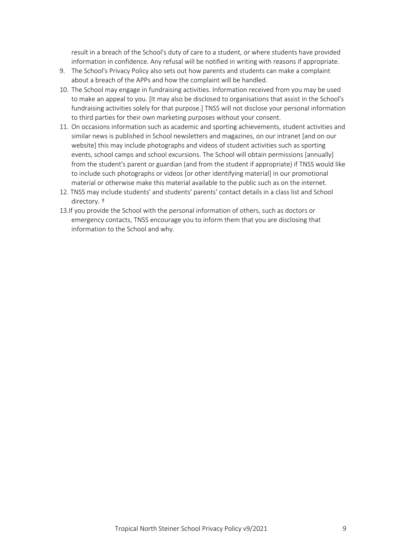result in a breach of the School's duty of care to a student, or where students have provided information in confidence. Any refusal will be notified in writing with reasons if appropriate.

- 9. The School's Privacy Policy also sets out how parents and students can make a complaint about a breach of the APPs and how the complaint will be handled.
- 10. The School may engage in fundraising activities. Information received from you may be used to make an appeal to you. [It may also be disclosed to organisations that assist in the School's fundraising activities solely for that purpose.] TNSS will not disclose your personal information to third parties for their own marketing purposes without your consent.
- 11. On occasions information such as academic and sporting achievements, student activities and similar news is published in School newsletters and magazines, on our intranet [and on our website] this may include photographs and videos of student activities such as sporting events, school camps and school excursions. The School will obtain permissions [annually] from the student's parent or guardian (and from the student if appropriate) if TNSS would like to include such photographs or videos [or other identifying material] in our promotional material or otherwise make this material available to the public such as on the internet.
- 12. TNSS may include students' and students' parents' contact details in a class list and School directory. †
- 13.If you provide the School with the personal information of others, such as doctors or emergency contacts, TNSS encourage you to inform them that you are disclosing that information to the School and why.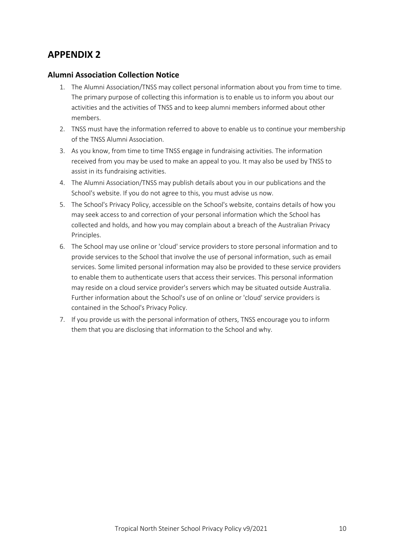#### **Alumni Association Collection Notice**

- 1. The Alumni Association/TNSS may collect personal information about you from time to time. The primary purpose of collecting this information is to enable us to inform you about our activities and the activities of TNSS and to keep alumni members informed about other members.
- 2. TNSS must have the information referred to above to enable us to continue your membership of the TNSS Alumni Association.
- 3. As you know, from time to time TNSS engage in fundraising activities. The information received from you may be used to make an appeal to you. It may also be used by TNSS to assist in its fundraising activities.
- 4. The Alumni Association/TNSS may publish details about you in our publications and the School's website. If you do not agree to this, you must advise us now.
- 5. The School's Privacy Policy, accessible on the School's website, contains details of how you may seek access to and correction of your personal information which the School has collected and holds, and how you may complain about a breach of the Australian Privacy Principles.
- 6. The School may use online or 'cloud' service providers to store personal information and to provide services to the School that involve the use of personal information, such as email services. Some limited personal information may also be provided to these service providers to enable them to authenticate users that access their services. This personal information may reside on a cloud service provider's servers which may be situated outside Australia. Further information about the School's use of on online or 'cloud' service providers is contained in the School's Privacy Policy.
- 7. If you provide us with the personal information of others, TNSS encourage you to inform them that you are disclosing that information to the School and why.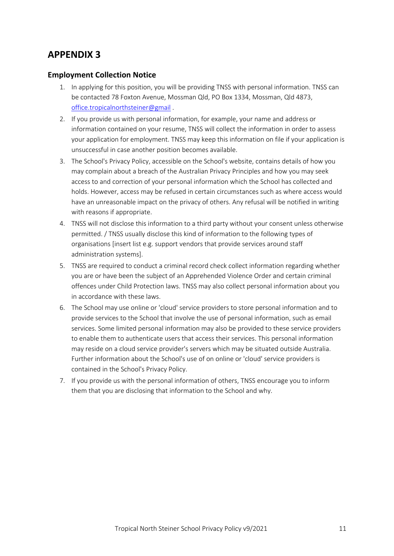#### **Employment Collection Notice**

- 1. In applying for this position, you will be providing TNSS with personal information. TNSS can be contacted 78 Foxton Avenue, Mossman Qld, PO Box 1334, Mossman, Qld 4873, office.tropicalnorthsteiner@gmail .
- 2. If you provide us with personal information, for example, your name and address or information contained on your resume, TNSS will collect the information in order to assess your application for employment. TNSS may keep this information on file if your application is unsuccessful in case another position becomes available.
- 3. The School's Privacy Policy, accessible on the School's website, contains details of how you may complain about a breach of the Australian Privacy Principles and how you may seek access to and correction of your personal information which the School has collected and holds. However, access may be refused in certain circumstances such as where access would have an unreasonable impact on the privacy of others. Any refusal will be notified in writing with reasons if appropriate.
- 4. TNSS will not disclose this information to a third party without your consent unless otherwise permitted. / TNSS usually disclose this kind of information to the following types of organisations [insert list e.g. support vendors that provide services around staff administration systems].
- 5. TNSS are required to conduct a criminal record check collect information regarding whether you are or have been the subject of an Apprehended Violence Order and certain criminal offences under Child Protection laws. TNSS may also collect personal information about you in accordance with these laws.
- 6. The School may use online or 'cloud' service providers to store personal information and to provide services to the School that involve the use of personal information, such as email services. Some limited personal information may also be provided to these service providers to enable them to authenticate users that access their services. This personal information may reside on a cloud service provider's servers which may be situated outside Australia. Further information about the School's use of on online or 'cloud' service providers is contained in the School's Privacy Policy.
- 7. If you provide us with the personal information of others, TNSS encourage you to inform them that you are disclosing that information to the School and why.